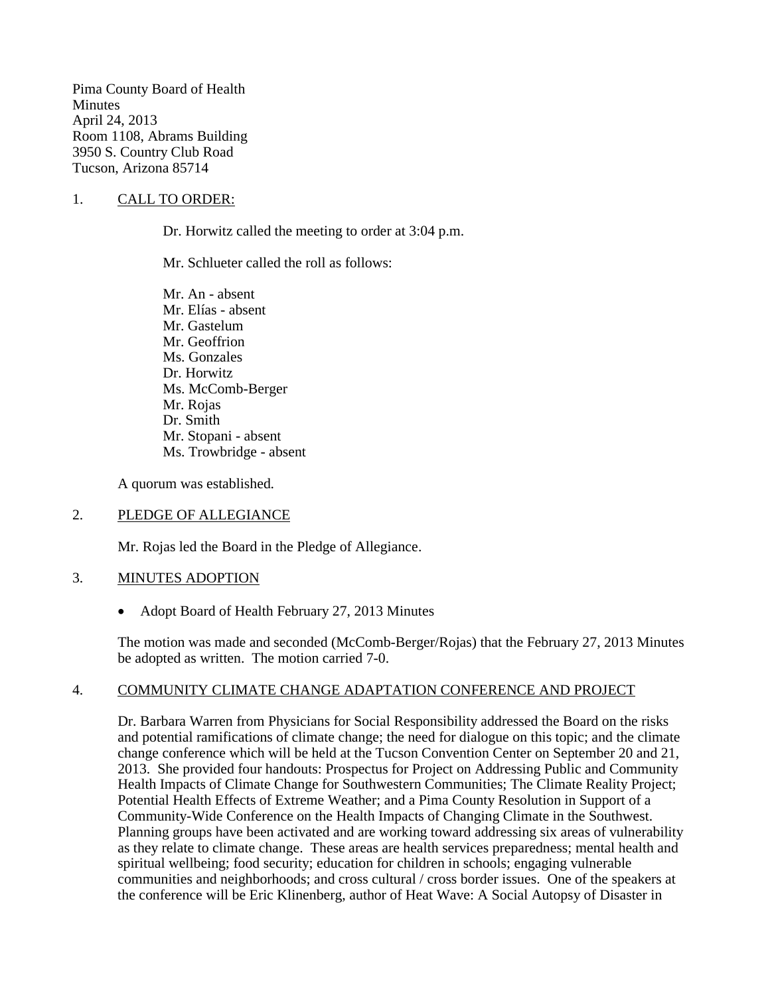Pima County Board of Health **Minutes** April 24, 2013 Room 1108, Abrams Building 3950 S. Country Club Road Tucson, Arizona 85714

#### 1. CALL TO ORDER:

Dr. Horwitz called the meeting to order at 3:04 p.m.

Mr. Schlueter called the roll as follows:

Mr. An - absent Mr. Elías - absent Mr. Gastelum Mr. Geoffrion Ms. Gonzales Dr. Horwitz Ms. McComb-Berger Mr. Rojas Dr. Smith Mr. Stopani - absent Ms. Trowbridge - absent

A quorum was established.

#### 2. PLEDGE OF ALLEGIANCE

Mr. Rojas led the Board in the Pledge of Allegiance.

#### 3. MINUTES ADOPTION

• Adopt Board of Health February 27, 2013 Minutes

The motion was made and seconded (McComb-Berger/Rojas) that the February 27, 2013 Minutes be adopted as written. The motion carried 7-0.

## 4. COMMUNITY CLIMATE CHANGE ADAPTATION CONFERENCE AND PROJECT

Dr. Barbara Warren from Physicians for Social Responsibility addressed the Board on the risks and potential ramifications of climate change; the need for dialogue on this topic; and the climate change conference which will be held at the Tucson Convention Center on September 20 and 21, 2013. She provided four handouts: Prospectus for Project on Addressing Public and Community Health Impacts of Climate Change for Southwestern Communities; The Climate Reality Project; Potential Health Effects of Extreme Weather; and a Pima County Resolution in Support of a Community-Wide Conference on the Health Impacts of Changing Climate in the Southwest. Planning groups have been activated and are working toward addressing six areas of vulnerability as they relate to climate change. These areas are health services preparedness; mental health and spiritual wellbeing; food security; education for children in schools; engaging vulnerable communities and neighborhoods; and cross cultural / cross border issues. One of the speakers at the conference will be Eric Klinenberg, author of Heat Wave: A Social Autopsy of Disaster in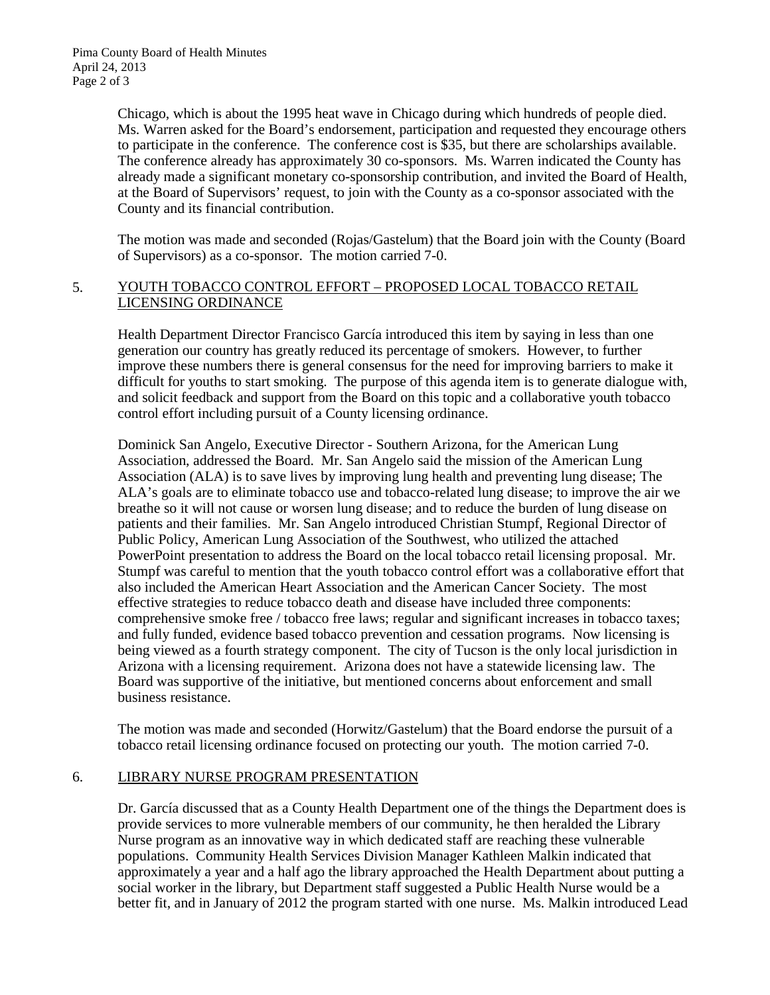Chicago, which is about the 1995 heat wave in Chicago during which hundreds of people died. Ms. Warren asked for the Board's endorsement, participation and requested they encourage others to participate in the conference. The conference cost is \$35, but there are scholarships available. The conference already has approximately 30 co-sponsors. Ms. Warren indicated the County has already made a significant monetary co-sponsorship contribution, and invited the Board of Health, at the Board of Supervisors' request, to join with the County as a co-sponsor associated with the County and its financial contribution.

The motion was made and seconded (Rojas/Gastelum) that the Board join with the County (Board of Supervisors) as a co-sponsor. The motion carried 7-0.

#### 5. YOUTH TOBACCO CONTROL EFFORT – PROPOSED LOCAL TOBACCO RETAIL LICENSING ORDINANCE

Health Department Director Francisco García introduced this item by saying in less than one generation our country has greatly reduced its percentage of smokers. However, to further improve these numbers there is general consensus for the need for improving barriers to make it difficult for youths to start smoking. The purpose of this agenda item is to generate dialogue with, and solicit feedback and support from the Board on this topic and a collaborative youth tobacco control effort including pursuit of a County licensing ordinance.

Dominick San Angelo, Executive Director - Southern Arizona, for the American Lung Association, addressed the Board. Mr. San Angelo said the mission of the American Lung Association (ALA) is to save lives by improving lung health and preventing lung disease; The ALA's goals are to eliminate tobacco use and tobacco-related lung disease; to improve the air we breathe so it will not cause or worsen lung disease; and to reduce the burden of lung disease on patients and their families. Mr. San Angelo introduced Christian Stumpf, Regional Director of Public Policy, American Lung Association of the Southwest, who utilized the attached PowerPoint presentation to address the Board on the local tobacco retail licensing proposal. Mr. Stumpf was careful to mention that the youth tobacco control effort was a collaborative effort that also included the American Heart Association and the American Cancer Society. The most effective strategies to reduce tobacco death and disease have included three components: comprehensive smoke free / tobacco free laws; regular and significant increases in tobacco taxes; and fully funded, evidence based tobacco prevention and cessation programs. Now licensing is being viewed as a fourth strategy component. The city of Tucson is the only local jurisdiction in Arizona with a licensing requirement. Arizona does not have a statewide licensing law. The Board was supportive of the initiative, but mentioned concerns about enforcement and small business resistance.

The motion was made and seconded (Horwitz/Gastelum) that the Board endorse the pursuit of a tobacco retail licensing ordinance focused on protecting our youth. The motion carried 7-0.

## 6. LIBRARY NURSE PROGRAM PRESENTATION

Dr. García discussed that as a County Health Department one of the things the Department does is provide services to more vulnerable members of our community, he then heralded the Library Nurse program as an innovative way in which dedicated staff are reaching these vulnerable populations. Community Health Services Division Manager Kathleen Malkin indicated that approximately a year and a half ago the library approached the Health Department about putting a social worker in the library, but Department staff suggested a Public Health Nurse would be a better fit, and in January of 2012 the program started with one nurse. Ms. Malkin introduced Lead